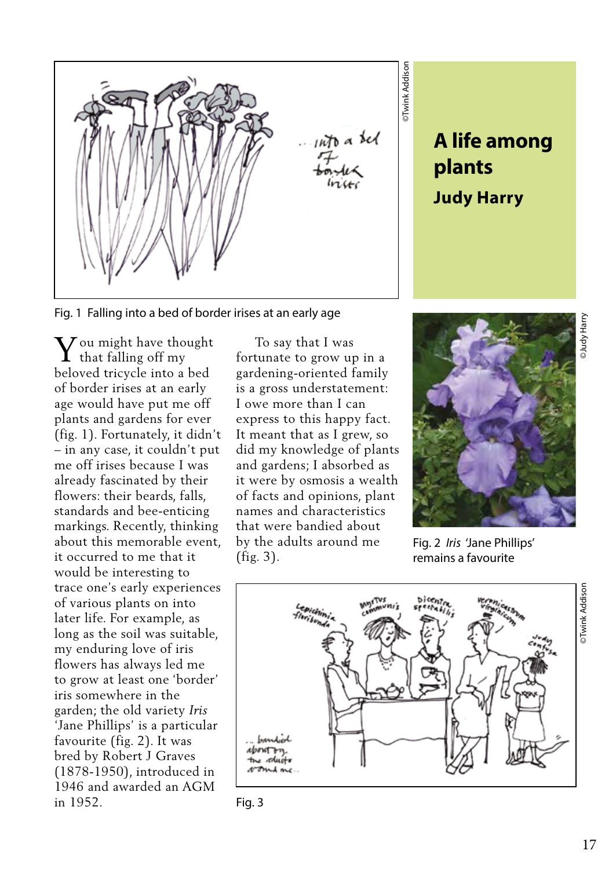

**plants Judy Harry**

Fig. 1 Falling into a bed of border irises at an early age

 $\displaystyle {\bf Y}$  ou might have thought that falling off my that falling off my beloved tricycle into a bed of border irises at an early age would have put me off plants and gardens for ever (fig. 1). Fortunately, it didn't – in any case, it couldn't put me off irises because I was already fascinated by their flowers: their beards, falls, standards and bee-enticing markings. Recently, thinking about this memorable event, it occurred to me that it would be interesting to trace one's early experiences of various plants on into later life. For example, as long as the soil was suitable, my enduring love of iris flowers has always led me to grow at least one 'border' iris somewhere in the garden; the old variety *Iris* 'Jane Phillips' is a particular favourite (fig. 2). It was bred by Robert J Graves (1878-1950), introduced in 1946 and awarded an AGM in 1952.

 To say that I was fortunate to grow up in a gardening-oriented family is a gross understatement: I owe more than I can express to this happy fact. It meant that as I grew, so did my knowledge of plants and gardens; I absorbed as it were by osmosis a wealth of facts and opinions, plant names and characteristics that were bandied about by the adults around me (fig. 3).



Fig. 2 *Iris* 'Jane Phillips' remains a favourite



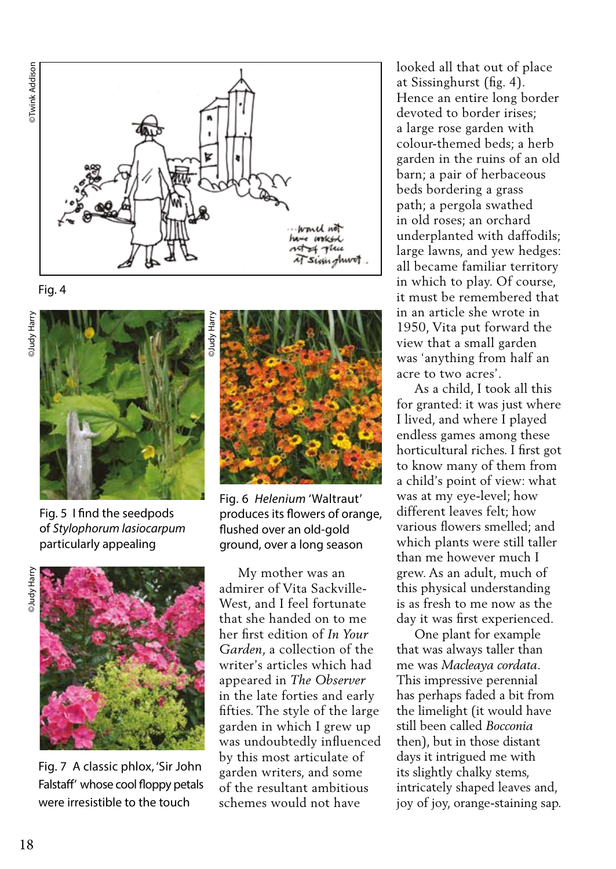

Fig. 4





Fig. 5 I find the seedpods of *Stylophorum lasiocarpum*  particularly appealing



Fig. 7 A classic phlox, 'Sir John Falstaff' whose cool floppy petals were irresistible to the touch



Fig. 6 *Helenium* 'Waltraut' produces its flowers of orange, flushed over an old-gold ground, over a long season

 My mother was an admirer of Vita Sackville-West, and I feel fortunate that she handed on to me her first edition of *In Your Garden*, a collection of the writer's articles which had appeared in *The Observer* in the late forties and early fifties. The style of the large garden in which I grew up was undoubtedly influenced by this most articulate of garden writers, and some of the resultant ambitious schemes would not have

looked all that out of place at Sissinghurst (fig. 4). Hence an entire long border devoted to border irises; a large rose garden with colour-themed beds; a herb garden in the ruins of an old barn; a pair of herbaceous beds bordering a grass path; a pergola swathed in old roses; an orchard underplanted with daffodils; large lawns, and yew hedges: all became familiar territory in which to play. Of course, it must be remembered that in an article she wrote in 1950, Vita put forward the view that a small garden was 'anything from half an acre to two acres'.

 As a child, I took all this for granted: it was just where I lived, and where I played endless games among these horticultural riches. I first got to know many of them from a child's point of view: what was at my eye-level; how different leaves felt; how various flowers smelled; and which plants were still taller than me however much I grew. As an adult, much of this physical understanding is as fresh to me now as the day it was first experienced.

 One plant for example that was always taller than me was *Macleaya cordata*. This impressive perennial has perhaps faded a bit from the limelight (it would have still been called *Bocconia* then), but in those distant days it intrigued me with its slightly chalky stems, intricately shaped leaves and, joy of joy, orange-staining sap.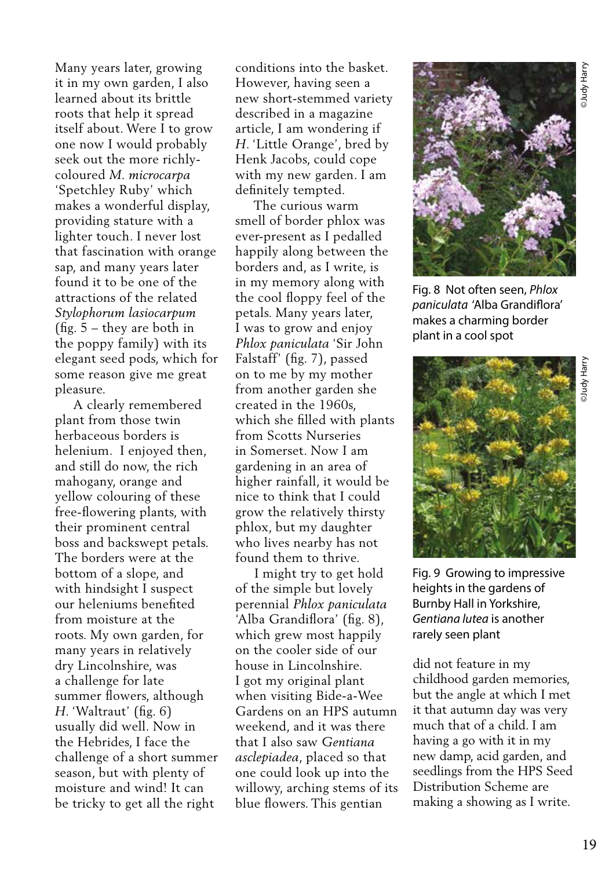Many years later, growing it in my own garden, I also learned about its brittle roots that help it spread itself about. Were I to grow one now I would probably seek out the more richlycoloured *M. microcarpa* 'Spetchley Ruby' which makes a wonderful display, providing stature with a lighter touch. I never lost that fascination with orange sap, and many years later found it to be one of the attractions of the related *Stylophorum lasiocarpum*  (fig. 5 – they are both in the poppy family) with its elegant seed pods, which for some reason give me great pleasure.

 A clearly remembered plant from those twin herbaceous borders is helenium. I enjoyed then, and still do now, the rich mahogany, orange and yellow colouring of these free-flowering plants, with their prominent central boss and backswept petals. The borders were at the bottom of a slope, and with hindsight I suspect our heleniums benefited from moisture at the roots. My own garden, for many years in relatively dry Lincolnshire, was a challenge for late summer flowers, although *H*. 'Waltraut' (fig. 6) usually did well. Now in the Hebrides, I face the challenge of a short summer season, but with plenty of moisture and wind! It can be tricky to get all the right

conditions into the basket. However, having seen a new short-stemmed variety described in a magazine article, I am wondering if *H*. 'Little Orange', bred by Henk Jacobs, could cope with my new garden. I am definitely tempted.

 The curious warm smell of border phlox was ever-present as I pedalled happily along between the borders and, as I write, is in my memory along with the cool floppy feel of the petals. Many years later, I was to grow and enjoy *Phlox paniculata* 'Sir John Falstaff' (fig. 7), passed on to me by my mother from another garden she created in the 1960s, which she filled with plants from Scotts Nurseries in Somerset. Now I am gardening in an area of higher rainfall, it would be nice to think that I could grow the relatively thirsty phlox, but my daughter who lives nearby has not found them to thrive.

 I might try to get hold of the simple but lovely perennial *Phlox paniculata* 'Alba Grandiflora' (fig. 8), which grew most happily on the cooler side of our house in Lincolnshire. I got my original plant when visiting Bide-a-Wee Gardens on an HPS autumn weekend, and it was there that I also saw *Gentiana asclepiadea*, placed so that one could look up into the willowy, arching stems of its blue flowers. This gentian



Fig. 8 Not often seen, *Phlox paniculata* 'Alba Grandiflora' makes a charming border plant in a cool spot



Fig. 9 Growing to impressive heights in the gardens of Burnby Hall in Yorkshire, *Gentiana lutea* is another rarely seen plant

did not feature in my childhood garden memories, but the angle at which I met it that autumn day was very much that of a child. I am having a go with it in my new damp, acid garden, and seedlings from the HPS Seed Distribution Scheme are making a showing as I write.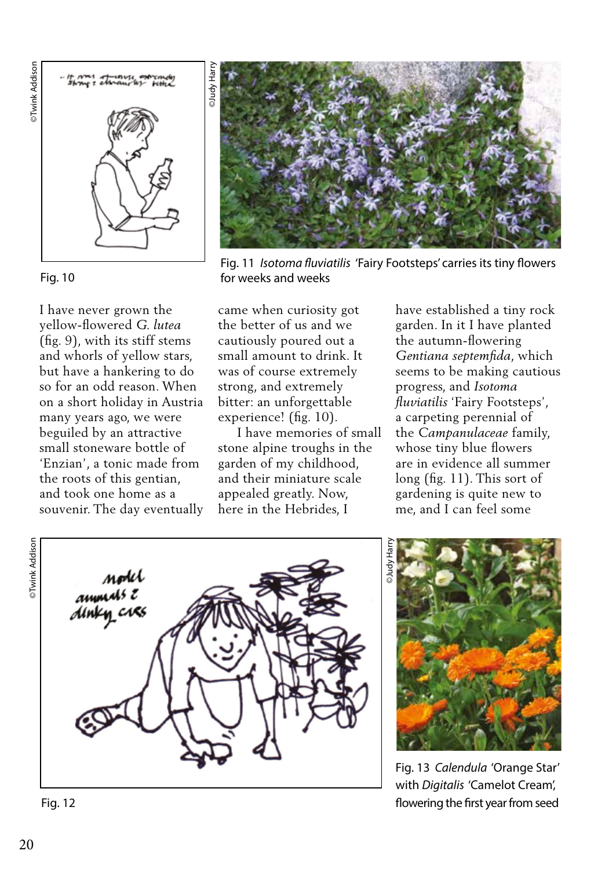



## Fig. 10

I have never grown the yellow-flowered *G. lutea* (fig. 9), with its stiff stems and whorls of yellow stars, but have a hankering to do so for an odd reason. When on a short holiday in Austria many years ago, we were beguiled by an attractive small stoneware bottle of 'Enzian', a tonic made from the roots of this gentian, and took one home as a souvenir. The day eventually



Fig. 11 *Isotoma fluviatilis* 'Fairy Footsteps' carries its tiny flowers for weeks and weeks

came when curiosity got the better of us and we cautiously poured out a small amount to drink. It was of course extremely strong, and extremely bitter: an unforgettable experience! (fig. 10).

 I have memories of small stone alpine troughs in the garden of my childhood, and their miniature scale appealed greatly. Now, here in the Hebrides, I

have established a tiny rock garden. In it I have planted the autumn-flowering *Gentiana septemfida*, which seems to be making cautious progress, and *Isotoma fluviatilis* 'Fairy Footsteps', a carpeting perennial of the *Campanulaceae* family, whose tiny blue flowers are in evidence all summer long (fig. 11). This sort of gardening is quite new to me, and I can feel some



©Judy Harry

Fig. 13 *Calendula* 'Orange Star' with *Digitalis* 'Camelot Cream', Fig. 12 flowering the first year from seed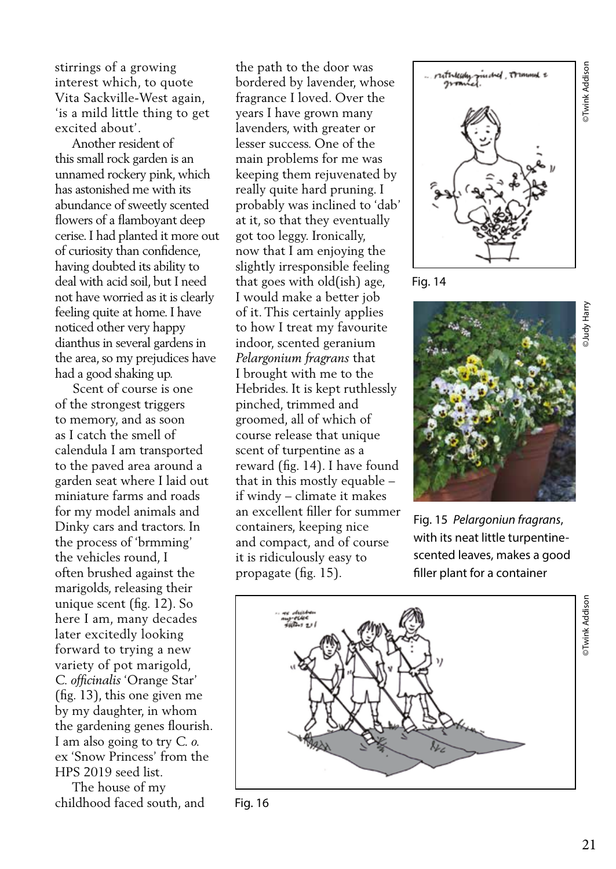stirrings of a growing interest which, to quote Vita Sackville-West again, 'is a mild little thing to get excited about'.

 Another resident of this small rock garden is an unnamed rockery pink, which has astonished me with its abundance of sweetly scented flowers of a flamboyant deep cerise. I had planted it more out of curiosity than confidence, having doubted its ability to deal with acid soil, but I need not have worried as it is clearly feeling quite at home. I have noticed other very happy dianthus in several gardens in the area, so my prejudices have had a good shaking up.

 Scent of course is one of the strongest triggers to memory, and as soon as I catch the smell of calendula I am transported to the paved area around a garden seat where I laid out miniature farms and roads for my model animals and Dinky cars and tractors. In the process of 'brmming' the vehicles round, I often brushed against the marigolds, releasing their unique scent (fig. 12). So here I am, many decades later excitedly looking forward to trying a new variety of pot marigold, *C. officinalis* 'Orange Star' (fig. 13), this one given me by my daughter, in whom the gardening genes flourish. I am also going to try *C. o.*  ex 'Snow Princess' from the HPS 2019 seed list.

 The house of my childhood faced south, and

the path to the door was bordered by lavender, whose fragrance I loved. Over the years I have grown many lavenders, with greater or lesser success. One of the main problems for me was keeping them rejuvenated by really quite hard pruning. I probably was inclined to 'dab' at it, so that they eventually got too leggy. Ironically, now that I am enjoying the slightly irresponsible feeling that goes with old(ish) age, I would make a better job of it. This certainly applies to how I treat my favourite indoor, scented geranium *Pelargonium fragrans* that I brought with me to the Hebrides. It is kept ruthlessly pinched, trimmed and groomed, all of which of course release that unique scent of turpentine as a reward (fig. 14). I have found that in this mostly equable – if windy – climate it makes an excellent filler for summer containers, keeping nice and compact, and of course it is ridiculously easy to propagate (fig. 15).



©Twink Addison

Twink Addison

Fig. 14



Fig. 15 *Pelargoniun fragrans*, with its neat little turpentinescented leaves, makes a good filler plant for a container



Fig. 16